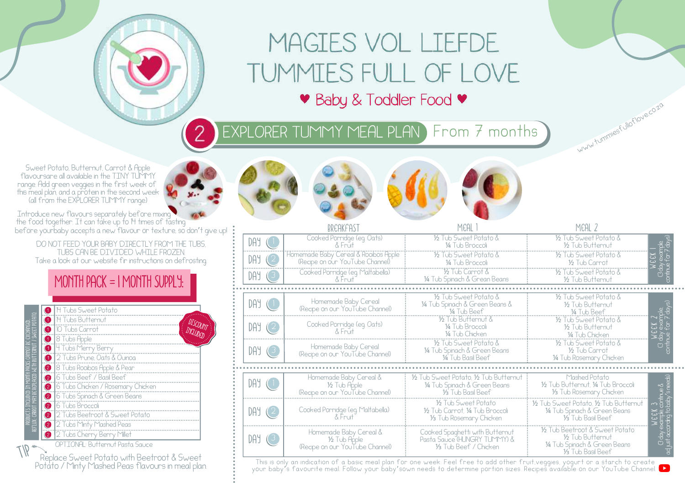## MAGIES VOL LIEFDE TUMMIES FULL OF LOVE • Baby & Toddler Food •

EXPLORER TUMMY MEAL PLAN) From 7 months

(Recipe on our YouTube Channel)

Sweet Potato, Butternut, Carrot & Apple flavoursare all available in the TINY TUMMY range. Add green veggies in the first week of this meal plan, and a protein in the second week (all from the EXPLORER TUMMY range)

before yourbaby accepts a new flavour or texture, so don't give up! Introduce new flavours separately before mixing the food together. It can take up to 14 times of tasting

DO NOT FEED YOUR BABY DIRECTLY FROM THE TUBS. TUBS CAN BE DIVIDED WHILE FROZEN. Take a look at our website fir instructions on defrosting.

## MONTH PACK = 1 MONTH SUPPLY: 14 Tubs Sweet Potato reflux: carrot may be replaced with butternut / sweet potato.  $\bullet$ ..............................<br>H Tubs Butternut DISCOUNT products included in month packs cannot be exchanged.  $\bullet$ 10 Tubs Carrot Include Ō 8 Tubs Apple  $\bullet$ 4 Tubs Merry Berry Ō 2 Tubs Prune, Oats & Ouinoa  $\ddot{\mathbf{e}}$ 8 Tubs Rooibos Apple & Pear  $\bullet$ 6 Tubs Beef / Basil Beef  $\bullet$ 6 Tubs Chicken / Rosemary Chicken  $\ddot{\bullet}$ 6 Tubs Spinach & Green Beans  $\bullet$ 6 Tubs Broccoli  $\bullet$ 2 Tubs Beetroot & Sweet Potato  $\bullet$ 2 Tubs Minty Mashed Peas 2 Tubs Cherry Berry Millet OPTIONAL: Butternut Pasta Sauce TIP

Replace Sweet Potato with Beetroot & Sweet Potato / Minty Mashed Peas flavours in meal plan.



ww.tummiesfulloflove.co.zo

<sup>¼</sup> Tub Spinach & Green Beans <sup>⅓</sup> Tub Basil Beef

This is only an indication of a basic meal plan for one week. Feel free to add other fruit,veggies, yogurt or a starch to create your baby's favourite meal. Follow your baby'sown needs to determine portion sizes. Recipes available on our YouTube Channel.

⅓ Tub Beef / Chicken